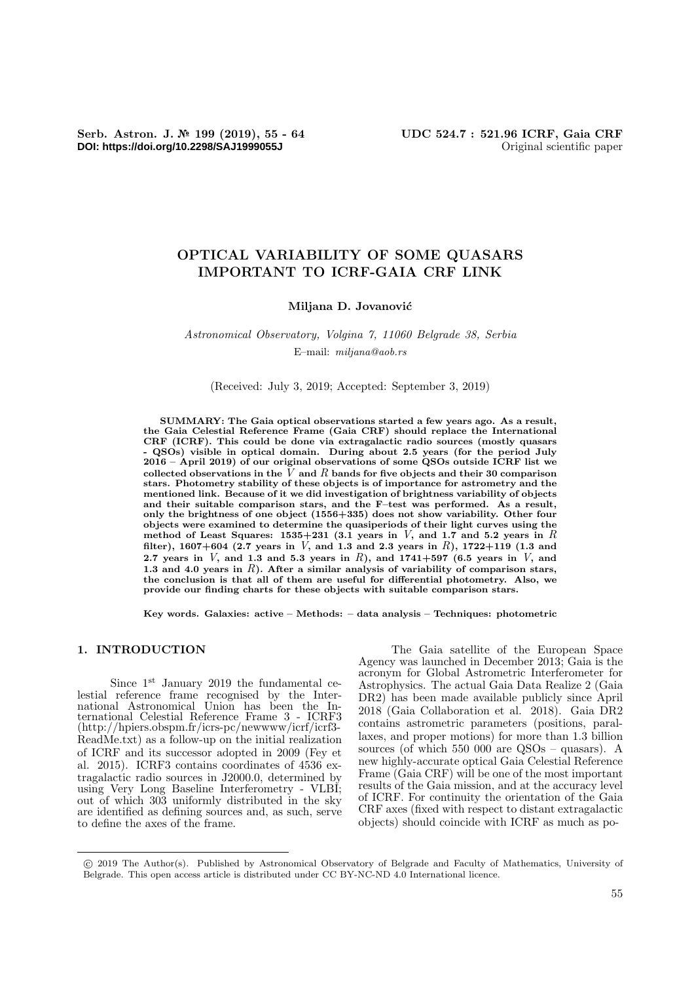**DOI: https://doi.org/10.2298/SAJ1999055J** Original scientific paper

# OPTICAL VARIABILITY OF SOME QUASARS IMPORTANT TO ICRF-GAIA CRF LINK

#### Miljana D. Jovanović

Astronomical Observatory, Volgina 7, 11060 Belgrade 38, Serbia E–mail: miljana@aob.rs

(Received: July 3, 2019; Accepted: September 3, 2019)

SUMMARY: The Gaia optical observations started a few years ago. As a result, the Gaia Celestial Reference Frame (Gaia CRF) should replace the International CRF (ICRF). This could be done via extragalactic radio sources (mostly quasars QSOs) visible in optical domain. During about 2.5 years (for the period July 2016 – April 2019) of our original observations of some QSOs outside ICRF list we collected observations in the  $\tilde{V}$  and  $R$  bands for five objects and their 30 comparison stars. Photometry stability of these objects is of importance for astrometry and the mentioned link. Because of it we did investigation of brightness variability of objects and their suitable comparison stars, and the F–test was performed. As a result, only the brightness of one object (1556+335) does not show variability. Other four objects were examined to determine the quasiperiods of their light curves using the method of Least Squares:  $1535+231$  (3.1 years in V, and 1.7 and 5.2 years in R filter), 1607+604 (2.7 years in V, and 1.3 and 2.3 years in R), 1722+119 (1.3 and 2.7 years in  $V$ , and 1.3 and 5.3 years in  $R$ ), and 1741+597 (6.5 years in  $V$ , and 1.3 and 4.0 years in  $R$ ). After a similar analysis of variability of comparison stars, the conclusion is that all of them are useful for differential photometry. Also, we provide our finding charts for these objects with suitable comparison stars.

Key words. Galaxies: active – Methods: – data analysis – Techniques: photometric

## 1. INTRODUCTION

Since 1<sup>st</sup> January 2019 the fundamental celestial reference frame recognised by the International Astronomical Union has been the International Celestial Reference Frame 3 - ICRF3 (http://hpiers.obspm.fr/icrs-pc/newwww/icrf/icrf3- ReadMe.txt) as a follow-up on the initial realization of ICRF and its successor adopted in 2009 (Fey et al. 2015). ICRF3 contains coordinates of 4536 extragalactic radio sources in J2000.0, determined by using Very Long Baseline Interferometry - VLBI; out of which 303 uniformly distributed in the sky are identified as defining sources and, as such, serve to define the axes of the frame.

The Gaia satellite of the European Space Agency was launched in December 2013; Gaia is the acronym for Global Astrometric Interferometer for Astrophysics. The actual Gaia Data Realize 2 (Gaia DR2) has been made available publicly since April 2018 (Gaia Collaboration et al. 2018). Gaia DR2 contains astrometric parameters (positions, parallaxes, and proper motions) for more than 1.3 billion sources (of which 550 000 are QSOs – quasars). A new highly-accurate optical Gaia Celestial Reference Frame (Gaia CRF) will be one of the most important results of the Gaia mission, and at the accuracy level of ICRF. For continuity the orientation of the Gaia CRF axes (fixed with respect to distant extragalactic objects) should coincide with ICRF as much as po-

<sup>°</sup>c 2019 The Author(s). Published by Astronomical Observatory of Belgrade and Faculty of Mathematics, University of Belgrade. This open access article is distributed under CC BY-NC-ND 4.0 International licence.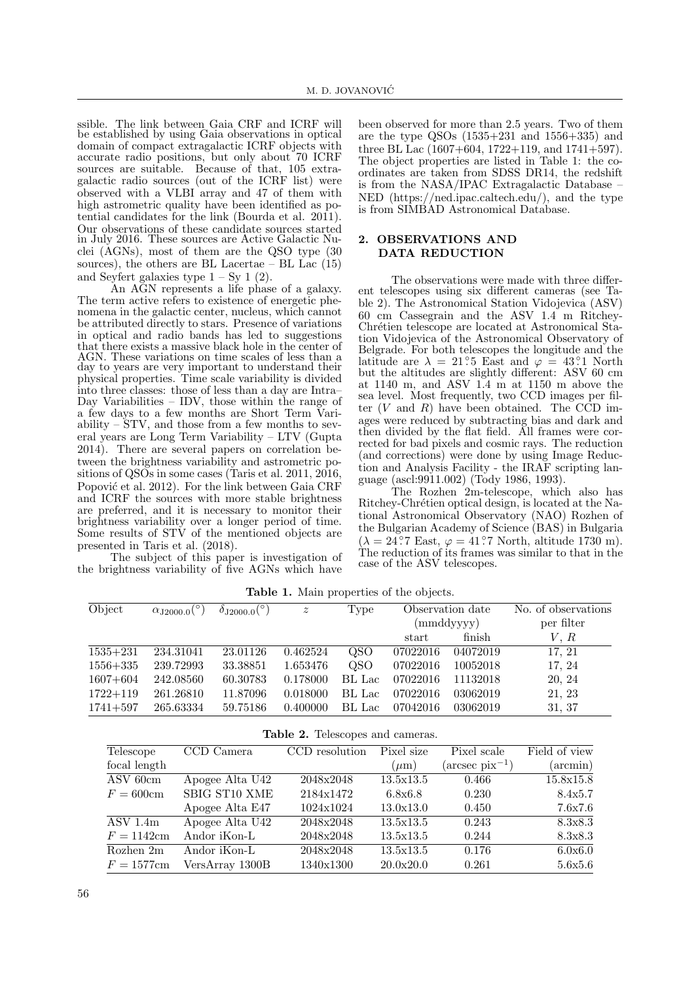ssible. The link between Gaia CRF and ICRF will be established by using Gaia observations in optical domain of compact extragalactic ICRF objects with accurate radio positions, but only about 70 ICRF sources are suitable. Because of that, 105 extragalactic radio sources (out of the ICRF list) were observed with a VLBI array and 47 of them with high astrometric quality have been identified as potential candidates for the link (Bourda et al. 2011). Our observations of these candidate sources started in July 2016. These sources are Active Galactic Nuclei (AGNs), most of them are the QSO type (30 sources), the others are BL Lacertae – BL Lac $(15)$ and Seyfert galaxies type  $1 - Sy \, 1 \, (2)$ .

An AGN represents a life phase of a galaxy. The term active refers to existence of energetic phenomena in the galactic center, nucleus, which cannot be attributed directly to stars. Presence of variations in optical and radio bands has led to suggestions that there exists a massive black hole in the center of AGN. These variations on time scales of less than a day to years are very important to understand their physical properties. Time scale variability is divided into three classes: those of less than a day are Intra– Day Variabilities – IDV, those within the range of a few days to a few months are Short Term Variability – STV, and those from a few months to several years are Long Term Variability – LTV (Gupta 2014). There are several papers on correlation between the brightness variability and astrometric positions of QSOs in some cases (Taris et al. 2011, 2016, Popović et al. 2012). For the link between Gaia CRF and ICRF the sources with more stable brightness are preferred, and it is necessary to monitor their brightness variability over a longer period of time. Some results of STV of the mentioned objects are presented in Taris et al. (2018).

The subject of this paper is investigation of the brightness variability of five AGNs which have

been observed for more than 2.5 years. Two of them are the type QSOs (1535+231 and 1556+335) and three BL Lac  $(1607+604, 1722+119, \text{ and } 1741+597)$ . The object properties are listed in Table 1: the coordinates are taken from SDSS DR14, the redshift is from the NASA/IPAC Extragalactic Database – NED (https://ned.ipac.caltech.edu/), and the type is from SIMBAD Astronomical Database.

# 2. OBSERVATIONS AND DATA REDUCTION

The observations were made with three different telescopes using six different cameras (see Table 2). The Astronomical Station Vidojevica (ASV) 60 cm Cassegrain and the ASV 1.4 m Ritchey-Chrétien telescope are located at Astronomical Station Vidojevica of the Astronomical Observatory of Belgrade. For both telescopes the longitude and the latitude are  $\lambda = 21^\circ 5$  East and  $\varphi = 43^\circ 1$  North but the altitudes are slightly different: ASV 60 cm at 1140 m, and ASV 1.4 m at 1150 m above the sea level. Most frequently, two CCD images per filter  $(V \text{ and } R)$  have been obtained. The CCD images were reduced by subtracting bias and dark and then divided by the flat field. All frames were corrected for bad pixels and cosmic rays. The reduction (and corrections) were done by using Image Reduction and Analysis Facility - the IRAF scripting language (ascl:9911.002) (Tody 1986, 1993).

The Rozhen 2m-telescope, which also has Ritchey-Chrétien optical design, is located at the National Astronomical Observatory (NAO) Rozhen of the Bulgarian Academy of Science (BAS) in Bulgaria  $(\lambda = 24\degree7 \text{ East}, \varphi = 41\degree7 \text{ North}, \text{ altitude } 1730 \text{ m}).$ The reduction of its frames was similar to that in the case of the ASV telescopes.

| Object       | $\alpha_{\rm J2000.0}$ <sup>(°)</sup> | $\delta_{\rm J2000.0} (°)$ | $\boldsymbol{z}$ | Type   |          | Observation date | No. of observations |
|--------------|---------------------------------------|----------------------------|------------------|--------|----------|------------------|---------------------|
|              |                                       |                            |                  |        |          | (mmddyyyy)       | per filter          |
|              |                                       |                            |                  |        | start    | finish           | V, R                |
| $1535 + 231$ | 234.31041                             | 23.01126                   | 0.462524         | QSO    | 07022016 | 04072019         | 17, 21              |
| $1556 + 335$ | 239.72993                             | 33.38851                   | 1.653476         | QSO    | 07022016 | 10052018         | 17, 24              |
| $1607 + 604$ | 242.08560                             | 60.30783                   | 0.178000         | BL Lac | 07022016 | 11132018         | 20, 24              |
| $1722 + 119$ | 261.26810                             | 11.87096                   | 0.018000         | BL Lac | 07022016 | 03062019         | 21, 23              |
| $1741 + 597$ | 265.63334                             | 59.75186                   | 0.400000         | BL Lac | 07042016 | 03062019         | 31, 37              |

Table 1. Main properties of the objects.

| Telescope                      | CCD Camera      | CCD resolution | Pixel size | Pixel scale                 | Field of view     |
|--------------------------------|-----------------|----------------|------------|-----------------------------|-------------------|
| focal length                   |                 |                | $(\mu m)$  | $(\arccos \text{pix}^{-1})$ | $(\text{arcmin})$ |
| ASV 60cm                       | Apogee Alta U42 | 2048x2048      | 13.5x13.5  | 0.466                       | 15.8x15.8         |
| $F = 600$ cm                   | SBIG ST10 XME   | 2184x1472      | 6.8x6.8    | 0.230                       | 8.4x5.7           |
|                                | Apogee Alta E47 | 1024x1024      | 13.0x13.0  | 0.450                       | 7.6x7.6           |
| $\overline{\mathrm{ASV}}$ 1.4m | Apogee Alta U42 | 2048x2048      | 13.5x13.5  | 0.243                       | 8.3x8.3           |
| $F = 1142$ cm                  | Andor iKon-L    | 2048x2048      | 13.5x13.5  | 0.244                       | 8.3x8.3           |
| Rozhen 2m                      | Andor iKon-L    | 2048x2048      | 13.5x13.5  | 0.176                       | 6.0x6.0           |
| $F = 1577$ cm                  | VersArray 1300B | 1340x1300      | 20.0x20.0  | 0.261                       | 5.6x5.6           |

Table 2. Telescopes and cameras.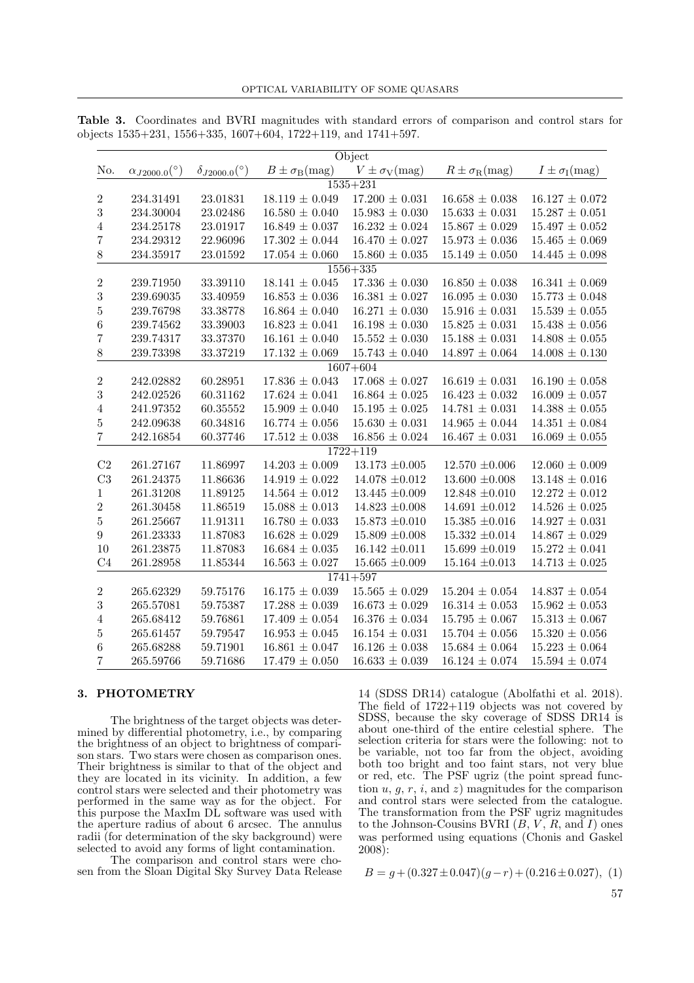| Object           |                             |                             |                                   |                                   |                                    |                                   |  |
|------------------|-----------------------------|-----------------------------|-----------------------------------|-----------------------------------|------------------------------------|-----------------------------------|--|
| No.              | $\alpha_{J2000.0} (^\circ)$ | $\delta_{J2000.0} (^\circ)$ | $B \pm \sigma_{\rm B}({\rm mag})$ | $V \pm \sigma_{\rm V}({\rm mag})$ | $R \pm \sigma_{\rm R}(\text{mag})$ | $I \pm \sigma_{\rm I}({\rm mag})$ |  |
|                  | $1535 + 231$                |                             |                                   |                                   |                                    |                                   |  |
| $\,2$            | 234.31491                   | 23.01831                    | $18.119 \pm 0.049$                | $17.200\,\pm\,0.031$              | $16.658 \pm 0.038$                 | $16.127 \pm 0.072$                |  |
| $\boldsymbol{3}$ | 234.30004                   | 23.02486                    | $16.580 \pm 0.040$                | $15.983 \pm 0.030$                | $15.633 \pm 0.031$                 | $15.287 \pm 0.051$                |  |
| $\overline{4}$   | 234.25178                   | 23.01917                    | $16.849 \pm 0.037$                | $16.232 \pm 0.024$                | $15.867 \pm 0.029$                 | $15.497 \pm 0.052$                |  |
| $\overline{7}$   | 234.29312                   | 22.96096                    | $17.302 \pm 0.044$                | $16.470 \pm 0.027$                | $15.973 \pm 0.036$                 | $15.465 \pm 0.069$                |  |
| $8\,$            | 234.35917                   | 23.01592                    | $17.054 \pm 0.060$                | $15.860\,\pm\,0.035$              | $15.149 \pm 0.050$                 | $14.445\,\pm\,0.098$              |  |
|                  |                             |                             |                                   | $1556 + 335$                      |                                    |                                   |  |
| $\sqrt{2}$       | 239.71950                   | 33.39110                    | $18.141 \pm 0.045$                | $17.336\,\pm\,0.030$              | $16.850 \pm 0.038$                 | $16.341 \pm 0.069$                |  |
| $\sqrt{3}$       | 239.69035                   | 33.40959                    | $16.853 \pm 0.036$                | $16.381 \pm 0.027$                | $16.095 \pm 0.030$                 | $15.773 \pm 0.048$                |  |
| $\bf 5$          | 239.76798                   | 33.38778                    | $16.864 \pm 0.040$                | $16.271 \pm 0.030$                | $15.916 \pm 0.031$                 | $15.539 \pm 0.055$                |  |
| $\,6\,$          | 239.74562                   | 33.39003                    | $16.823 \pm 0.041$                | $16.198 \pm 0.030$                | $15.825 \pm 0.031$                 | $15.438\,\pm\,0.056$              |  |
| $\overline{7}$   | 239.74317                   | 33.37370                    | $16.161 \pm 0.040$                | $15.552 \pm 0.030$                | $15.188 \pm 0.031$                 | $14.808 \pm 0.055$                |  |
| $8\,$            | 239.73398                   | 33.37219                    | $17.132 \pm 0.069$                | $15.743 \pm 0.040$                | $14.897 \pm 0.064$                 | $14.008\,\pm\,0.130$              |  |
|                  |                             |                             |                                   | $1607 + 604$                      |                                    |                                   |  |
| $\sqrt{2}$       | 242.02882                   | 60.28951                    | $17.836 \pm 0.043$                | $17.068 \pm 0.027$                | $16.619 \pm 0.031$                 | $16.190 \pm 0.058$                |  |
| $\sqrt{3}$       | 242.02526                   | 60.31162                    | $17.624 \pm 0.041$                | $16.864 \pm 0.025$                | $16.423 \pm 0.032$                 | $16.009 \pm 0.057$                |  |
| $\overline{4}$   | 241.97352                   | 60.35552                    | $15.909 \pm 0.040$                | $15.195 \pm 0.025$                | $14.781 \pm 0.031$                 | $14.388 \pm 0.055$                |  |
| $\bf 5$          | 242.09638                   | 60.34816                    | $16.774 \pm 0.056$                | $15.630 \pm 0.031$                | $14.965 \pm 0.044$                 | $14.351 \pm 0.084$                |  |
| $\overline{7}$   | 242.16854                   | 60.37746                    | $17.512 \pm 0.038$                | $16.856 \pm 0.024$                | $16.467 \pm 0.031$                 | $16.069 \pm 0.055$                |  |
|                  |                             |                             |                                   | $1722 + 119$                      |                                    |                                   |  |
| C <sub>2</sub>   | 261.27167                   | 11.86997                    | $14.203 \pm 0.009$                | $13.173\ \pm0.005$                | $12.570 \pm 0.006$                 | $12.060 \pm 0.009$                |  |
| C3               | 261.24375                   | 11.86636                    | $14.919 \pm 0.022$                | $14.078 \; {\pm} 0.012$           | $13.600 \pm 0.008$                 | $13.148 \pm 0.016$                |  |
| $\mathbf{1}$     | 261.31208                   | 11.89125                    | $14.564 \pm 0.012$                | $13.445 \pm 0.009$                | $12.848 \pm 0.010$                 | $12.272 \pm 0.012$                |  |
| $\overline{2}$   | 261.30458                   | 11.86519                    | $15.088 \pm 0.013$                | $14.823\ \pm0.008$                | $14.691 \pm 0.012$                 | $14.526 \pm 0.025$                |  |
| $\bf 5$          | 261.25667                   | 11.91311                    | $16.780 \pm 0.033$                | $15.873 \pm 0.010$                | $15.385 \pm 0.016$                 | $14.927 \pm 0.031$                |  |
| $\boldsymbol{9}$ | 261.23333                   | 11.87083                    | $16.628 \pm 0.029$                | $15.809 \pm 0.008$                | $15.332 \pm 0.014$                 | $14.867 \pm 0.029$                |  |
| 10               | 261.23875                   | 11.87083                    | $16.684 \pm 0.035$                | $16.142 \pm 0.011$                | $15.699 \pm 0.019$                 | $15.272 \pm 0.041$                |  |
| C <sub>4</sub>   | 261.28958                   | 11.85344                    | $16.563 \pm 0.027$                | $15.665\ \pm0.009$                | $15.164 \pm 0.013$                 | $14.713 \pm 0.025$                |  |
| $1741 + 597$     |                             |                             |                                   |                                   |                                    |                                   |  |
| $\sqrt{2}$       | 265.62329                   | 59.75176                    | $16.175 \pm 0.039$                | $15.565\,\pm\,0.029$              | $15.204 \pm 0.054$                 | $14.837\,\pm\,0.054$              |  |
| $\sqrt{3}$       | 265.57081                   | 59.75387                    | $17.288 \pm 0.039$                | $16.673 \pm 0.029$                | $16.314 \pm 0.053$                 | $15.962 \pm 0.053$                |  |
| $\sqrt{4}$       | 265.68412                   | 59.76861                    | $17.409 \pm 0.054$                | $16.376 \pm 0.034$                | $15.795 \pm 0.067$                 | $15.313 \pm 0.067$                |  |
| $\bf 5$          | 265.61457                   | 59.79547                    | $16.953 \pm 0.045$                | $16.154 \pm 0.031$                | $15.704 \pm 0.056$                 | $15.320 \pm 0.056$                |  |
| $\,6\,$          | 265.68288                   | 59.71901                    | $16.861 \pm 0.047$                | $16.126 \pm 0.038$                | $15.684 \pm 0.064$                 | $15.223 \pm 0.064$                |  |
| $\overline{7}$   | 265.59766                   | 59.71686                    | $17.479 \pm 0.050$                | $16.633 \pm 0.039$                | $16.124 \pm 0.074$                 | $15.594 \pm 0.074$                |  |

Table 3. Coordinates and BVRI magnitudes with standard errors of comparison and control stars for objects 1535+231, 1556+335, 1607+604, 1722+119, and 1741+597.

#### 3. PHOTOMETRY

The brightness of the target objects was determined by differential photometry, i.e., by comparing the brightness of an object to brightness of comparison stars. Two stars were chosen as comparison ones. Their brightness is similar to that of the object and they are located in its vicinity. In addition, a few control stars were selected and their photometry was performed in the same way as for the object. For this purpose the MaxIm DL software was used with the aperture radius of about 6 arcsec. The annulus radii (for determination of the sky background) were selected to avoid any forms of light contamination.

The comparison and control stars were chosen from the Sloan Digital Sky Survey Data Release

14 (SDSS DR14) catalogue (Abolfathi et al. 2018). The field of  $1722+119$  objects was not covered by SDSS, because the sky coverage of SDSS DR14 is about one-third of the entire celestial sphere. The selection criteria for stars were the following: not to be variable, not too far from the object, avoiding both too bright and too faint stars, not very blue or red, etc. The PSF ugriz (the point spread function  $u, g, r, i$ , and  $z$ ) magnitudes for the comparison and control stars were selected from the catalogue. The transformation from the PSF ugriz magnitudes to the Johnson-Cousins BVRI  $(B, V, R, \text{ and } I)$  ones was performed using equations (Chonis and Gaskel 2008):

 $B = g + (0.327 \pm 0.047)(g - r) + (0.216 \pm 0.027),$  (1)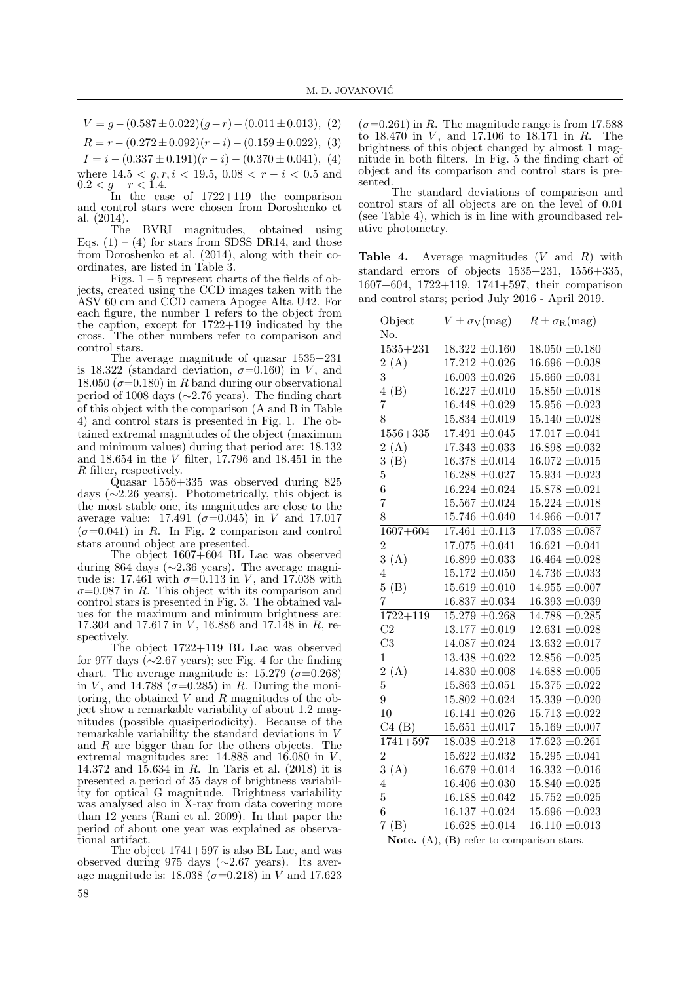$V = q - (0.587 \pm 0.022)(q - r) - (0.011 \pm 0.013),$  (2)

 $R = r - (0.272 \pm 0.092)(r - i) - (0.159 \pm 0.022),$  (3)

 $I = i - (0.337 \pm 0.191)(r - i) - (0.370 \pm 0.041),$  (4)

where  $14.5 < g, r, i < 19.5, 0.08 < r - i < 0.5$  and  $0.2 < g-r < 1.4$ .

In the case of  $1722+119$  the comparison and control stars were chosen from Doroshenko et al. (2014).

The BVRI magnitudes, obtained using Eqs.  $(1) - (4)$  for stars from SDSS DR14, and those from Doroshenko et al. (2014), along with their coordinates, are listed in Table 3.

Figs.  $1 - 5$  represent charts of the fields of objects, created using the CCD images taken with the ASV 60 cm and CCD camera Apogee Alta U42. For each figure, the number 1 refers to the object from the caption, except for 1722+119 indicated by the cross. The other numbers refer to comparison and control stars.

The average magnitude of quasar 1535+231 is 18.322 (standard deviation,  $\sigma = 0.160$ ) in V, and 18.050 ( $\sigma$ =0.180) in R band during our observational period of 1008 days (∼2.76 years). The finding chart of this object with the comparison (A and B in Table 4) and control stars is presented in Fig. 1. The obtained extremal magnitudes of the object (maximum and minimum values) during that period are: 18.132 and 18.654 in the  $V$  filter,  $\bar{1}7.796$  and 18.451 in the R filter, respectively.

Quasar 1556+335 was observed during 825 days (∼2.26 years). Photometrically, this object is the most stable one, its magnitudes are close to the average value: 17.491 ( $\sigma$ =0.045) in V and 17.017  $(\sigma=0.041)$  in R. In Fig. 2 comparison and control stars around object are presented.

The object 1607+604 BL Lac was observed during 864 days (∼2.36 years). The average magnitude is: 17.461 with  $\sigma = 0.113$  in V, and 17.038 with  $\sigma$ =0.087 in R. This object with its comparison and control stars is presented in Fig. 3. The obtained values for the maximum and minimum brightness are: 17.304 and 17.617 in V, 16.886 and 17.148 in R, respectively.

The object 1722+119 BL Lac was observed for 977 days ( $\sim$ 2.67 years); see Fig. 4 for the finding chart. The average magnitude is: 15.279 ( $\sigma$ =0.268) in V, and 14.788 ( $\sigma$ =0.285) in R. During the monitoring, the obtained V and R magnitudes of the object show a remarkable variability of about 1.2 magnitudes (possible quasiperiodicity). Because of the remarkable variability the standard deviations in V and R are bigger than for the others objects. The extremal magnitudes are:  $14.888$  and  $16.080$  in  $V$ , 14.372 and 15.634 in R. In Taris et al. (2018) it is presented a period of 35 days of brightness variability for optical G magnitude. Brightness variability was analysed also in X-ray from data covering more than 12 years (Rani et al. 2009). In that paper the period of about one year was explained as observational artifact.

The object  $1741+597$  is also BL Lac, and was observed during 975 days (∼2.67 years). Its average magnitude is:  $18.038$  ( $\sigma = 0.218$ ) in V and 17.623

 $(\sigma=0.261)$  in R. The magnitude range is from 17.588 to  $18.470$  in V, and  $17.106$  to  $18.171$  in R. The brightness of this object changed by almost 1 magnitude in both filters. In Fig. 5 the finding chart of object and its comparison and control stars is presented.

The standard deviations of comparison and control stars of all objects are on the level of 0.01 (see Table 4), which is in line with groundbased relative photometry.

**Table 4.** Average magnitudes  $(V \text{ and } R)$  with standard errors of objects 1535+231, 1556+335, 1607+604, 1722+119, 1741+597, their comparison and control stars; period July 2016 - April 2019.

| Object         | $\overline{V \pm \sigma_V}$ (mag)                   | $R \pm \sigma_{\rm R}$ (mag) |
|----------------|-----------------------------------------------------|------------------------------|
| No.            |                                                     |                              |
| $1535 + 231$   | $18.322 \pm 0.160$                                  | $18.050 \pm 0.180$           |
| 2(A)           | $17.212 \pm 0.026$                                  | $16.696 \pm 0.038$           |
| 3              | $16.003 \pm 0.026$                                  | $15.660 \pm 0.031$           |
| 4(B)           | $16.227 \pm 0.010$                                  | $15.850 \pm 0.018$           |
| $\overline{7}$ | $16.448 \pm 0.029$                                  | $15.956 \pm 0.023$           |
| 8              | $15.834 \pm 0.019$                                  | $15.140 \pm 0.028$           |
| $1556 + 335$   | $17.491 \pm 0.045$                                  | $17.017 \pm 0.041$           |
| 2(A)           | $17.343 \pm 0.033$                                  | $16.898 \pm 0.032$           |
| 3(B)           | $16.378 \pm 0.014$                                  | $16.072 \pm 0.015$           |
| $\overline{5}$ | $16.288 \pm 0.027$                                  | $15.934 \pm 0.023$           |
| $\overline{6}$ | $16.224 \pm 0.024$                                  | $15.878 \pm 0.021$           |
| $\overline{7}$ | $15.567 \; {\pm} 0.024$                             | $15.224 \pm 0.018$           |
| 8              | $15.746 \pm 0.040$                                  | $14.966 \pm 0.017$           |
| $1607 + 604$   | $17.461 \pm 0.113$                                  | $17.038 \pm 0.087$           |
| $\overline{2}$ | $17.075 \pm 0.041$                                  | $16.621 \pm 0.041$           |
| 3(A)           | $16.899 \pm 0.033$                                  | $16.464 \pm 0.028$           |
| $\overline{4}$ | $15.172 \pm 0.050$                                  | $14.736 \pm 0.033$           |
| 5(B)           | $15.619 \pm 0.010$                                  | $14.955 \pm 0.007$           |
| $\overline{7}$ | $16.837\ \pm0.034$                                  | $16.393 \pm 0.039$           |
|                | $\overline{1722+119}$ $\overline{15.279 \pm 0.268}$ | $14.788 + 0.285$             |
| C2             | $13.177 \pm 0.019$                                  | $12.631 \pm 0.028$           |
| C <sub>3</sub> | $14.087 \pm 0.024$                                  | $13.632 \pm 0.017$           |
| $\mathbf{1}$   | $13.438 \pm 0.022$                                  | $12.856 \pm 0.025$           |
| 2(A)           | $14.830 \pm 0.008$                                  | $14.688 \pm 0.005$           |
| $\overline{5}$ | $15.863\,\, \pm 0.051$                              | $15.375 \pm 0.022$           |
| 9              | $15.802 \pm 0.024$                                  | $15.339 \pm 0.020$           |
| 10             | $16.141 \pm 0.026$                                  | $15.713 \pm 0.022$           |
| C4(B)          | $15.651 \pm 0.017$                                  | $15.169 \pm 0.007$           |
| $1741 + 597$   | $18.038 \pm 0.218$                                  | $17.623 \pm 0.261$           |
| $\overline{2}$ | $15.622 \pm 0.032$                                  | $15.295 \pm 0.041$           |
| 3(A)           | $16.679 \pm 0.014$                                  | $16.332 \pm 0.016$           |
| $\overline{4}$ | $16.406 \pm 0.030$                                  | $15.840 \pm 0.025$           |
| $\overline{5}$ | $16.188 \pm 0.042$                                  | $15.752 \pm 0.025$           |
| $\overline{6}$ | $16.137 \pm 0.024$                                  | $15.696 \pm 0.023$           |
| 7(B)           | $16.628 \pm 0.014$                                  | $16.110 \pm 0.013$           |

Note. (A), (B) refer to comparison stars.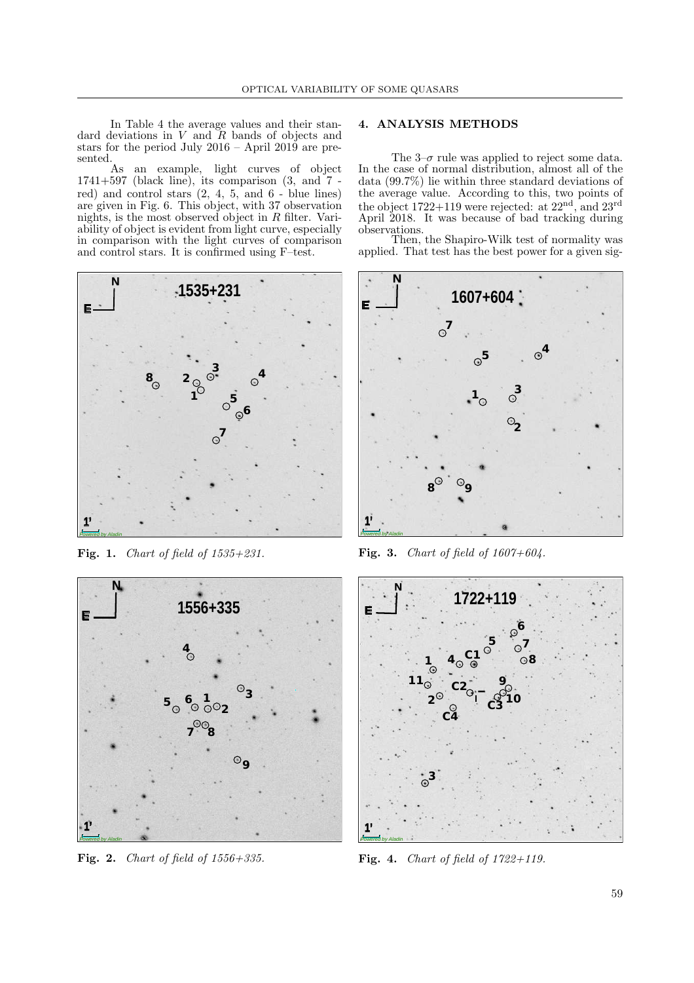In Table 4 the average values and their standard deviations in  $V$  and  $R$  bands of objects and stars for the period July  $2016 -$  April  $2019$  are pre- $$\mbox{\sc$As}$$ 

an example, light curves of object  $1741+597$  (black line), its comparison  $(3, \text{ and } 7)$  red) and control stars  $(2, 4, 5, \text{ and } 6$  - blue lines) are given in Fig. 6. This object, with 37 observation nights, is the most observed object in  $R$  filter. Variability of object is evident from light curve, especially in comparison with the light curves of comparison and control stars. It is confirmed using F–test.



Fig. 1. Chart of field of  $1535+231$ .



Fig. 2. Chart of field of  $1556+335$ .

### 4. ANALYSIS METHODS

The  $3-\sigma$  rule was applied to reject some data. In the case of normal distribution, almost all of the data (99.7%) lie within three standard deviations of the average value. According to this, two points of the object  $1722+119$  were rejected: at  $22<sup>nd</sup>$ , and  $23<sup>rd</sup>$ April 2018. It was because of bad tracking during observations.

Then, the Shapiro-Wilk test of normality was applied. That test has the best power for a given sig-



Fig. 3. Chart of field of  $1607+604$ .



Fig. 4. *Chart of field of 1722+119*.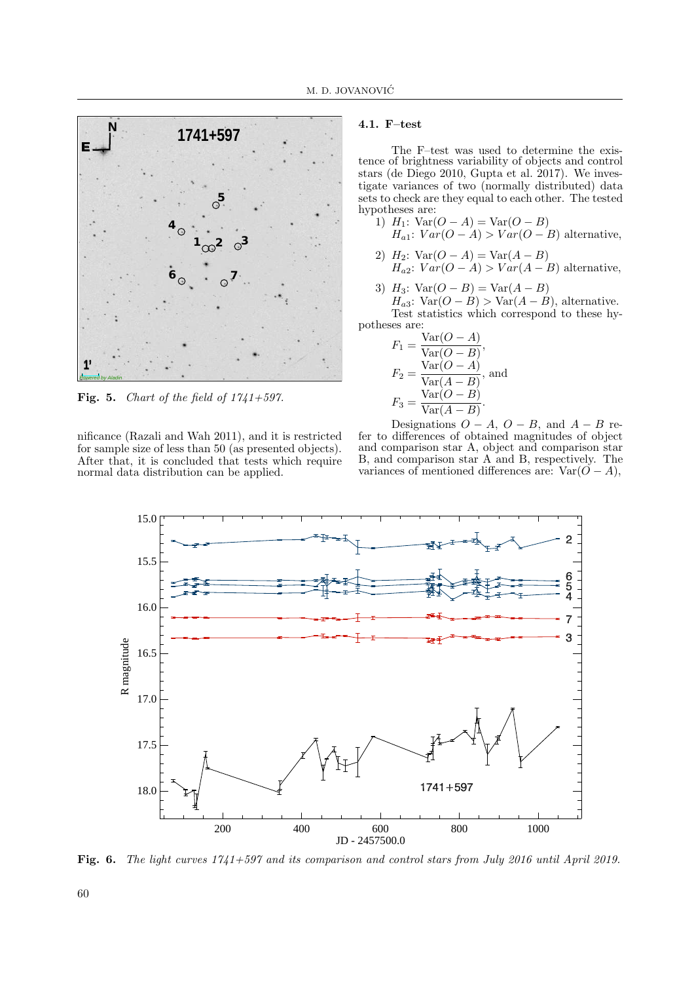

Fig. 5. Chart of the field of  $1741+597$ .

nificance (Razali and Wah 2011), and it is restricted for sample size of less than 50 (as presented objects). After that, it is concluded that tests which require normal data distribution can be applied.

## 4.1. F–test

The F–test was used to determine the existence of brightness variability of objects and control stars (de Diego 2010, Gupta et al. 2017). We investigate variances of two (normally distributed) data sets to check are they equal to each other. The tested hypotheses are:

- 1)  $H_1$ :  $Var(O A) = Var(O B)$  $H_{a1}: Var(O - A) > Var(O - B)$  alternative,
- 2)  $H_2$ :  $Var(O A) = Var(A B)$  $H_{a2}: Var(O - A) > Var(A - B)$  alternative,
- 3)  $H_3$ :  $Var(O B) = Var(A B)$  $H_{a3}: \text{Var}(O-B) > \text{Var}(A-B)$ , alternative. Test statistics which correspond to these hy-

potheses are:  
\n
$$
F_1 = \frac{\text{Var}(O - A)}{\text{Var}(O - B)},
$$
\n
$$
F_2 = \frac{\text{Var}(O - A)}{\text{Var}(A - B)}, \text{ and}
$$
\n
$$
F_3 = \frac{\text{Var}(O - B)}{\text{Var}(A - B)}.
$$

Designations  $O - A$ ,  $O - B$ , and  $A - B$  refer to differences of obtained magnitudes of object and comparison star A, object and comparison star B, and comparison star A and B, respectively. The variances of mentioned differences are:  $Var(O - A)$ ,



Fig. 6. The light curves 1741+597 and its comparison and control stars from July 2016 until April 2019.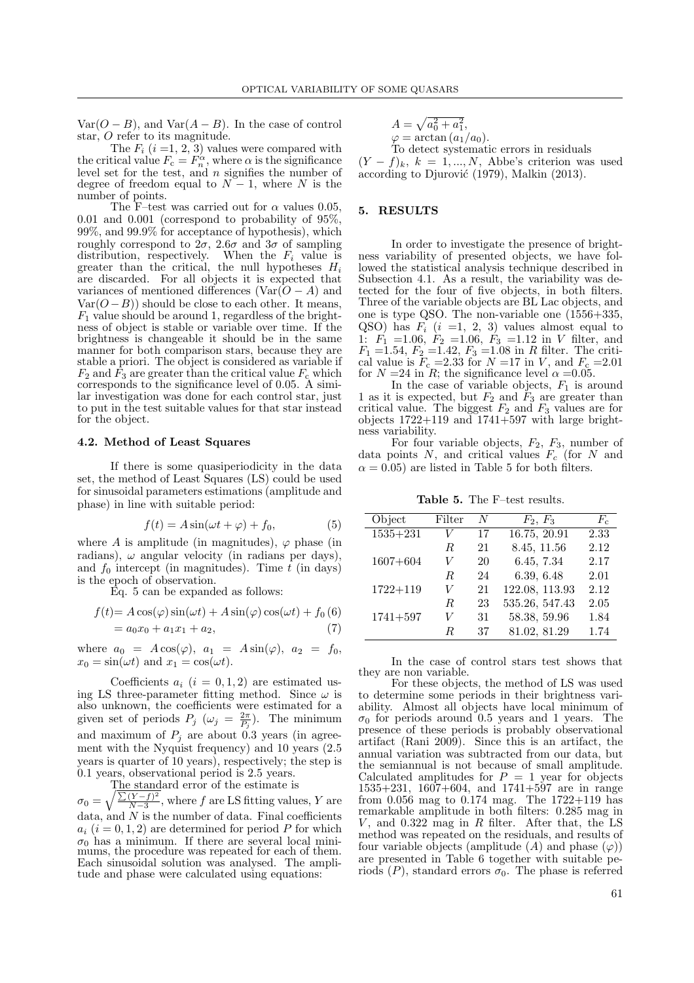Var( $O - B$ ), and Var( $A - B$ ). In the case of control star, O refer to its magnitude.

The  $F_i$   $(i = 1, 2, 3)$  values were compared with the critical value  $F_c = F_n^{\alpha}$ , where  $\alpha$  is the significance level set for the test, and n signifies the number of degree of freedom equal to  $N-1$ , where N is the number of points.

The F–test was carried out for  $\alpha$  values 0.05, 0.01 and 0.001 (correspond to probability of 95%, 99%, and 99.9% for acceptance of hypothesis), which roughly correspond to  $2\sigma$ ,  $2.6\sigma$  and  $3\sigma$  of sampling distribution, respectively. When the  $F_i$  value is greater than the critical, the null hypotheses  $H_i$ are discarded. For all objects it is expected that variances of mentioned differences ( $Var(O - A)$ ) and  $Var(O-B)$ ) should be close to each other. It means,  $F_1$  value should be around 1, regardless of the brightness of object is stable or variable over time. If the brightness is changeable it should be in the same manner for both comparison stars, because they are stable a priori. The object is considered as variable if  $F_2$  and  $F_3$  are greater than the critical value  $F_c$  which corresponds to the significance level of 0.05. A similar investigation was done for each control star, just to put in the test suitable values for that star instead for the object.

#### 4.2. Method of Least Squares

If there is some quasiperiodicity in the data set, the method of Least Squares (LS) could be used for sinusoidal parameters estimations (amplitude and phase) in line with suitable period:

$$
f(t) = A\sin(\omega t + \varphi) + f_0,\tag{5}
$$

where A is amplitude (in magnitudes),  $\varphi$  phase (in radians),  $\omega$  angular velocity (in radians per days), and  $f_0$  intercept (in magnitudes). Time  $t$  (in days) is the epoch of observation.

Eq. 5 can be expanded as follows:

$$
f(t) = A\cos(\varphi)\sin(\omega t) + A\sin(\varphi)\cos(\omega t) + f_0(6)
$$
  
=  $a_0x_0 + a_1x_1 + a_2,$  (7)

where  $a_0 = A \cos(\varphi), a_1 = A \sin(\varphi), a_2 = f_0,$  $x_0 = \sin(\omega t)$  and  $x_1 = \cos(\omega t)$ .

Coefficients  $a_i$   $(i = 0, 1, 2)$  are estimated using LS three-parameter fitting method. Since  $\omega$  is also unknown, the coefficients were estimated for a given set of periods  $P_j$  ( $\omega_j = \frac{2\pi}{P_j}$ ). The minimum and maximum of  $P_i$  are about 0.3 years (in agreement with the Nyquist frequency) and 10 years (2.5 years is quarter of 10 years), respectively; the step is 0.1 years, observational period is 2.5 years.

The standard error of the estimate is  $\sigma_0 = \sqrt{\frac{\sum (Y-f)^2}{N-3}}$  $\frac{(Y-f)^2}{N-3}$ , where f are LS fitting values, Y are data, and  $N$  is the number of data. Final coefficients  $a_i$   $(i = 0, 1, 2)$  are determined for period P for which  $\sigma_0$  has a minimum. If there are several local minimums, the procedure was repeated for each of them. Each sinusoidal solution was analysed. The amplitude and phase were calculated using equations:

$$
A = \sqrt{a_0^2 + a_1^2},
$$
  
\n
$$
\varphi = \arctan (a_1/a_0).
$$
  
\nTo detect systematic errors in residuals

 $(Y - f)_k$ ,  $k = 1, ..., N$ , Abbe's criterion was used according to Djurović (1979), Malkin (2013).

## 5. RESULTS

In order to investigate the presence of brightness variability of presented objects, we have followed the statistical analysis technique described in Subsection 4.1. As a result, the variability was detected for the four of five objects, in both filters. Three of the variable objects are BL Lac objects, and one is type QSO. The non-variable one (1556+335, QSO) has  $F_i$   $(i =1, 2, 3)$  values almost equal to 1:  $F_1 = 1.06, F_2 = 1.06, F_3 = 1.12$  in V filter, and  $F_1$  =1.54,  $F_2$  =1.42,  $F_3$  =1.08 in R filter. The critical value is  $F_c = 2.33$  for  $N = 17$  in V, and  $F_c = 2.01$ for  $N = 24$  in R; the significance level  $\alpha = 0.05$ .

In the case of variable objects,  $F_1$  is around 1 as it is expected, but  $F_2$  and  $\tilde{F}_3$  are greater than critical value. The biggest  $F_2$  and  $F_3$  values are for objects  $1722+119$  and  $1741+597$  with large brightness variability.

For four variable objects,  $F_2$ ,  $F_3$ , number of data points N, and critical values  $F_c$  (for N and  $\alpha = 0.05$ ) are listed in Table 5 for both filters.

Table 5. The F–test results.

| Object       | Filter | N  | $F_2, F_3$     | $F_c$ |
|--------------|--------|----|----------------|-------|
| $1535 + 231$ | V      | 17 | 16.75, 20.91   | 2.33  |
|              | R.     | 21 | 8.45, 11.56    | 2.12  |
| $1607 + 604$ | V      | 20 | 6.45, 7.34     | 2.17  |
|              | R.     | 24 | 6.39, 6.48     | 2.01  |
| $1722 + 119$ | V      | 21 | 122.08, 113.93 | 2.12  |
|              | R.     | 23 | 535.26, 547.43 | 2.05  |
| $1741 + 597$ | V      | 31 | 58.38, 59.96   | 1.84  |
|              | R      | 37 | 81.02, 81.29   | 1.74  |

In the case of control stars test shows that they are non variable.

For these objects, the method of LS was used to determine some periods in their brightness variability. Almost all objects have local minimum of  $\sigma_0$  for periods around 0.5 years and 1 years. The presence of these periods is probably observational artifact (Rani 2009). Since this is an artifact, the annual variation was subtracted from our data, but the semiannual is not because of small amplitude. Calculated amplitudes for  $P = 1$  year for objects  $1535+231$ ,  $1607+604$ , and  $1741+597$  are in range from  $0.056$  mag to  $0.174$  mag. The  $1722+119$  has remarkable amplitude in both filters: 0.285 mag in  $V$ , and 0.322 mag in  $R$  filter. After that, the LS method was repeated on the residuals, and results of four variable objects (amplitude  $(A)$  and phase  $(\varphi)$ ) are presented in Table 6 together with suitable periods  $(P)$ , standard errors  $\sigma_0$ . The phase is referred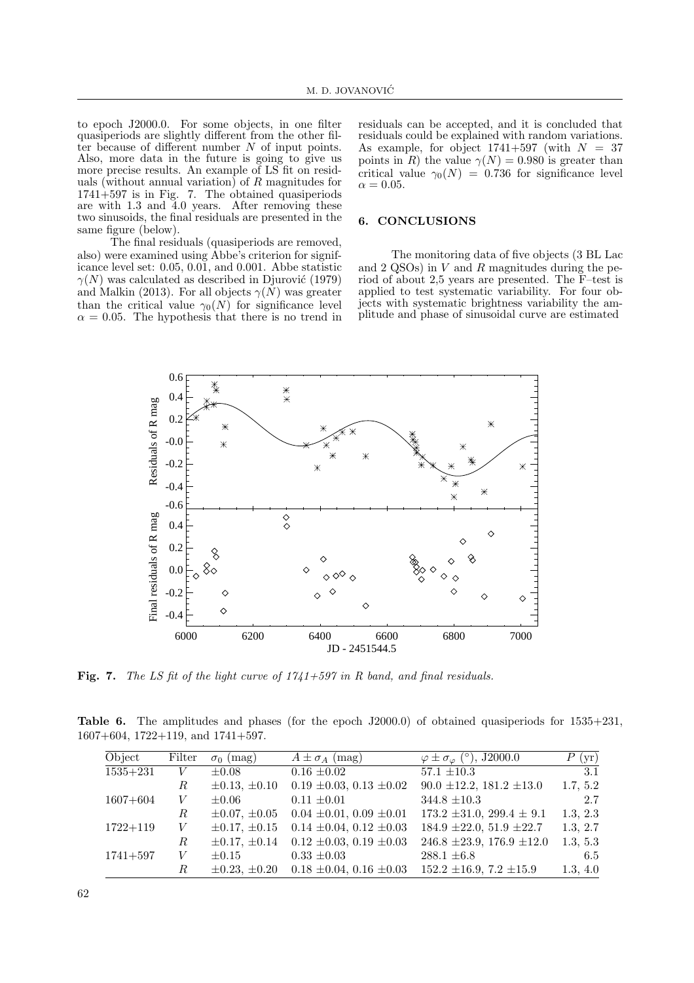to epoch J2000.0. For some objects, in one filter quasiperiods are slightly different from the other filter because of different number N of input points. Also, more data in the future is going to give us more precise results. An example of LS fit on residuals (without annual variation) of  $R$  magnitudes for 1741+597 is in Fig. 7. The obtained quasiperiods are with 1.3 and 4.0 years. After removing these two sinusoids, the final residuals are presented in the same figure (below).

The final residuals (quasiperiods are removed, also) were examined using Abbe's criterion for significance level set: 0.05, 0.01, and 0.001. Abbe statistic  $\gamma(N)$  was calculated as described in Djurović (1979) and Malkin (2013). For all objects  $\gamma(N)$  was greater than the critical value  $\gamma_0(N)$  for significance level  $\alpha = 0.05$ . The hypothesis that there is no trend in

residuals can be accepted, and it is concluded that residuals could be explained with random variations. As example, for object  $1741+597$  (with  $N = 37$ points in R) the value  $\gamma(N) = 0.980$  is greater than critical value  $\gamma_0(N) = 0.736$  for significance level  $\alpha = 0.05$ .

#### 6. CONCLUSIONS

The monitoring data of five objects (3 BL Lac and  $2 \text{ QSOs}$ ) in  $V$  and  $R$  magnitudes during the period of about 2,5 years are presented. The F–test is applied to test systematic variability. For four objects with systematic brightness variability the amplitude and phase of sinusoidal curve are estimated



Fig. 7. The LS fit of the light curve of  $1741+597$  in R band, and final residuals.

Table 6. The amplitudes and phases (for the epoch J2000.0) of obtained quasiperiods for 1535+231, 1607+604, 1722+119, and 1741+597.

| Object       | Filter | $\sigma_0$ (mag)     | $A \pm \sigma_A$ (mag)            | $\varphi \pm \sigma_{\varphi}$ (°), J2000.0 | P(yr)    |
|--------------|--------|----------------------|-----------------------------------|---------------------------------------------|----------|
| $1535 + 231$ | V      | $\pm 0.08$           | $0.16 \pm 0.02$                   | $57.1 \pm 10.3$                             | 3.1      |
|              | R      | $\pm 0.13, \pm 0.10$ | $0.19 \pm 0.03$ , $0.13 \pm 0.02$ | $90.0 \pm 12.2, 181.2 \pm 13.0$             | 1.7, 5.2 |
| $1607 + 604$ | V      | $\pm 0.06$           | $0.11 \pm 0.01$                   | $344.8 \pm 10.3$                            | 2.7      |
|              | R      | $\pm 0.07, \pm 0.05$ | $0.04 \pm 0.01, 0.09 \pm 0.01$    | $173.2 \pm 31.0$ , $299.4 \pm 9.1$          | 1.3, 2.3 |
| $1722 + 119$ | V      | $\pm 0.17, \pm 0.15$ | $0.14 \pm 0.04$ , $0.12 \pm 0.03$ | $184.9 \pm 22.0, 51.9 \pm 22.7$             | 1.3, 2.7 |
|              | R      | $\pm 0.17, \pm 0.14$ | $0.12 \pm 0.03$ , $0.19 \pm 0.03$ | $246.8 \pm 23.9, 176.9 \pm 12.0$            | 1.3, 5.3 |
| $1741 + 597$ | V      | $\pm 0.15$           | $0.33 \pm 0.03$                   | $288.1 \pm 6.8$                             | 6.5      |
|              | R      | $\pm 0.23, \pm 0.20$ | $0.18 \pm 0.04$ , $0.16 \pm 0.03$ | $152.2 \pm 16.9, 7.2 \pm 15.9$              | 1.3, 4.0 |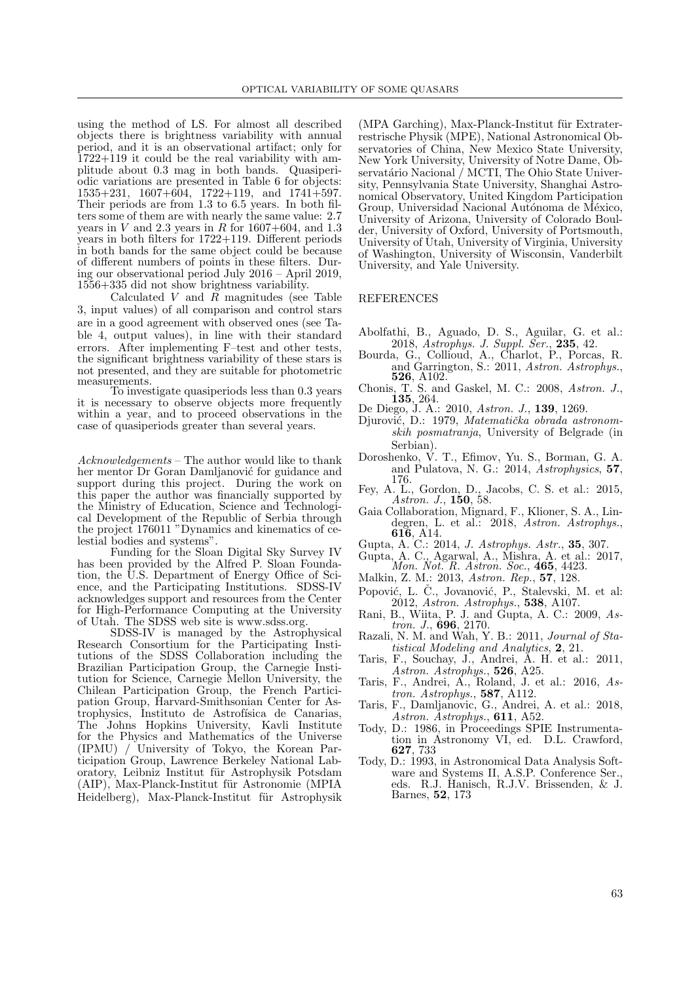using the method of LS. For almost all described objects there is brightness variability with annual period, and it is an observational artifact; only for 1722+119 it could be the real variability with amplitude about 0.3 mag in both bands. Quasiperiodic variations are presented in Table 6 for objects:  $1535+231$ ,  $1607+604$ ,  $1722+119$ , and  $1741+597$ . Their periods are from 1.3 to 6.5 years. In both filters some of them are with nearly the same value: 2.7 years in  $V$  and 2.3 years in  $R$  for 1607+604, and 1.3 years in both filters for 1722+119. Different periods in both bands for the same object could be because of different numbers of points in these filters. During our observational period July 2016 – April 2019, 1556+335 did not show brightness variability.

Calculated V and R magnitudes (see Table 3, input values) of all comparison and control stars are in a good agreement with observed ones (see Table 4, output values), in line with their standard errors. After implementing F–test and other tests, the significant brightness variability of these stars is not presented, and they are suitable for photometric measurements.

To investigate quasiperiods less than 0.3 years it is necessary to observe objects more frequently within a year, and to proceed observations in the case of quasiperiods greater than several years.

Acknowledgements – The author would like to thank her mentor Dr Goran Damlianović for guidance and support during this project. During the work on this paper the author was financially supported by the Ministry of Education, Science and Technological Development of the Republic of Serbia through the project 176011 "Dynamics and kinematics of celestial bodies and systems".

Funding for the Sloan Digital Sky Survey IV has been provided by the Alfred P. Sloan Foundation, the U.S. Department of Energy Office of Science, and the Participating Institutions. SDSS-IV acknowledges support and resources from the Center for High-Performance Computing at the University of Utah. The SDSS web site is www.sdss.org.

SDSS-IV is managed by the Astrophysical Research Consortium for the Participating Institutions of the SDSS Collaboration including the Brazilian Participation Group, the Carnegie Institution for Science, Carnegie Mellon University, the Chilean Participation Group, the French Participation Group, Harvard-Smithsonian Center for Astrophysics, Instituto de Astrofísica de Canarias, The Johns Hopkins University, Kavli Institute for the Physics and Mathematics of the Universe (IPMU) / University of Tokyo, the Korean Participation Group, Lawrence Berkeley National Laboratory, Leibniz Institut für Astrophysik Potsdam (AIP), Max-Planck-Institut für Astronomie (MPIA Heidelberg), Max-Planck-Institut für Astrophysik

 $(MPA$  Garching), Max-Planck-Institut für Extraterrestrische Physik (MPE), National Astronomical Observatories of China, New Mexico State University, New York University, University of Notre Dame, Observatário Nacional / MCTI, The Ohio State University, Pennsylvania State University, Shanghai Astronomical Observatory, United Kingdom Participation Group, Universidad Nacional Autónoma de México, University of Arizona, University of Colorado Boulder, University of Oxford, University of Portsmouth, University of Utah, University of Virginia, University of Washington, University of Wisconsin, Vanderbilt University, and Yale University.

#### REFERENCES

- Abolfathi, B., Aguado, D. S., Aguilar, G. et al.: 2018, Astrophys. J. Suppl. Ser., 235, 42.
- Bourda, G., Collioud, A., Charlot, P., Porcas, R. and Garrington, S.: 2011, Astron. Astrophys., 526, A102.
- Chonis, T. S. and Gaskel, M. C.: 2008, Astron. J., 135, 264.
- De Diego, J. A.: 2010, Astron. J., 139, 1269.
- Djurović, D.: 1979, Matematička obrada astronomskih posmatranja, University of Belgrade (in Serbian).
- Doroshenko, V. T., Efimov, Yu. S., Borman, G. A. and Pulatova, N. G.: 2014, Astrophysics, 57, 176.
- Fey, A. L., Gordon, D., Jacobs, C. S. et al.: 2015, Astron. J., **150**, 58.
- Gaia Collaboration, Mignard, F., Klioner, S. A., Lindegren, L. et al.: 2018, Astron. Astrophys., 616, A14.
- Gupta, A. C.: 2014, J. Astrophys. Astr., 35, 307.
- Gupta, A. C., Agarwal, A., Mishra, A. et al.: 2017, Mon. Not. R. Astron. Soc., 465, 4423.
- Malkin, Z. M.: 2013, Astron. Rep., 57, 128.
- Popović, L. Č., Jovanović, P., Stalevski, M. et al: 2012, Astron. Astrophys., 538, A107.
- Rani, B., Wiita, P. J. and Gupta, A. C.: 2009, Astron. J., 696, 2170.
- Razali, N. M. and Wah, Y. B.: 2011, Journal of Statistical Modeling and Analytics, 2, 21.
- Taris, F., Souchay, J., Andrei, A. H. et al.: 2011, Astron. Astrophys., 526, A25.
- Taris, F., Andrei, A., Roland, J. et al.: 2016, Astron. Astrophys., 587, A112.
- Taris, F., Damljanovic, G., Andrei, A. et al.: 2018, Astron. Astrophys., 611, A52.
- Tody, D.: 1986, in Proceedings SPIE Instrumentation in Astronomy VI, ed. D.L. Crawford, 627, 733
- Tody, D.: 1993, in Astronomical Data Analysis Software and Systems II, A.S.P. Conference Ser., eds. R.J. Hanisch, R.J.V. Brissenden, & J. Barnes, 52, 173